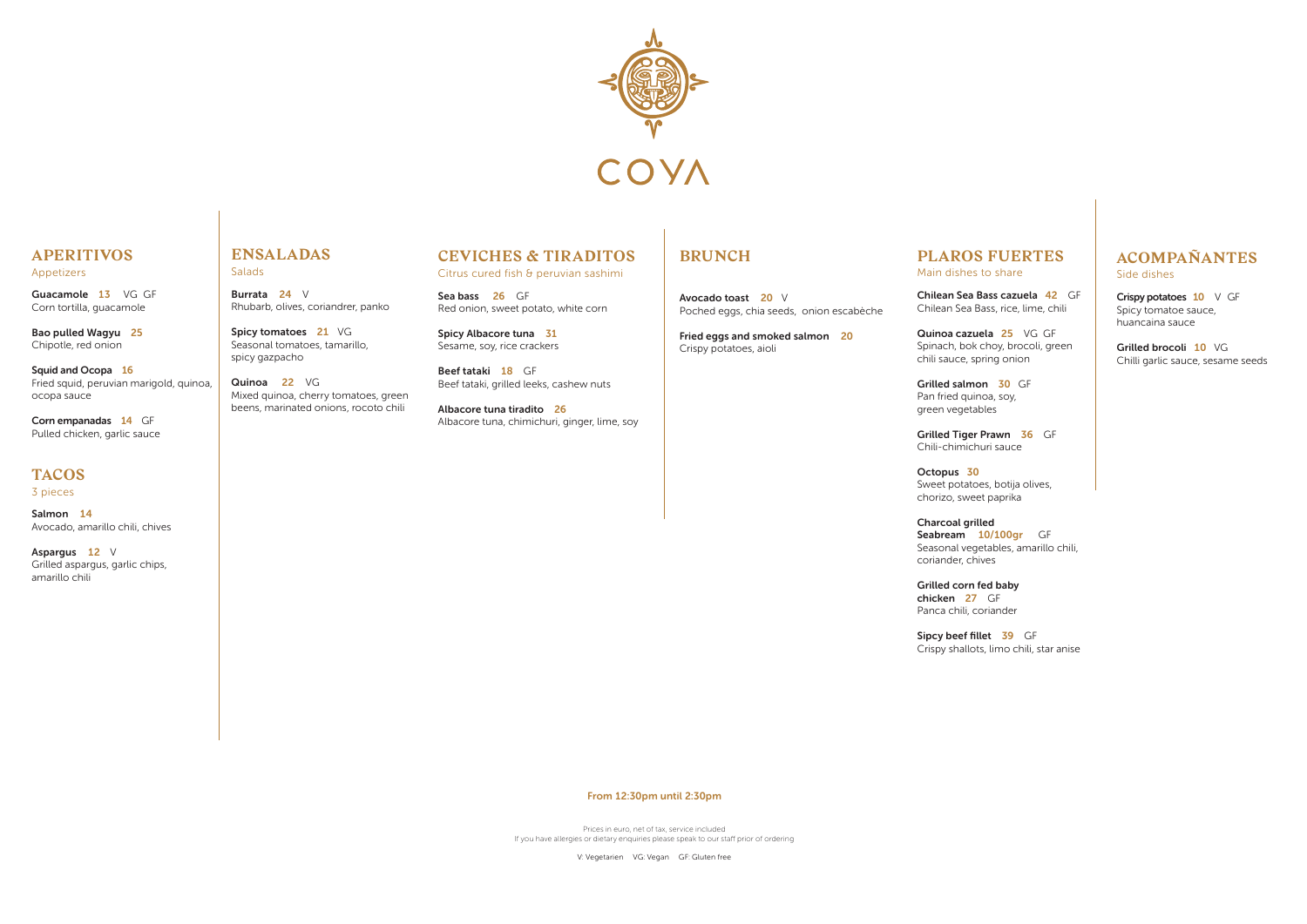

# **APERITIVOS**

Appetizers

Guacamole 13 VG GF Corn tortilla, guacamole

Bao pulled Wagyu 25 Chipotle, red onion

Corn empanadas 14 GF Pulled chicken, garlic sauce

Squid and Ocopa 16 Fried squid, peruvian marigold, quinoa, ocopa sauce

### **TACOS**

3 pieces

Spicy tomatoes 21 VG Seasonal tomatoes, tamarillo, spicy gazpacho

Salmon 14 Avocado, amarillo chili, chives

Aspargus 12 V Grilled aspargus, garlic chips, amarillo chili

### **ENSALADAS**

Salads

Burrata 24 V Rhubarb, olives, coriandrer, panko

> Grilled Tiger Prawn 36 GF Chili-chimichuri sauce

Quinoa 22 VG Mixed quinoa, cherry tomatoes, green beens, marinated onions, rocoto chili

## **PLAROS FUERTES** Main dishes to share

Crispy potatoes 10 V GF Spicy tomatoe sauce, huancaina sauce

Chilean Sea Bass cazuela 42 GF Chilean Sea Bass, rice, lime, chili

Quinoa cazuela 25 VG GF Spinach, bok choy, brocoli, green chili sauce, spring onion

Sea bass 26 GF Red onion, sweet potato, white corn

> Grilled salmon 30 GF Pan fried quinoa, soy, green vegetables

Octopus 30 Sweet potatoes, botija olives, chorizo, sweet paprika

Charcoal grilled Seabream 10/100gr GF coriander, chives

Seasonal vegetables, amarillo chili,

Grilled corn fed baby chicken 27 GF Panca chili, coriander

Sipcy beef fillet 39 GF

Crispy shallots, limo chili, star anise

# **ACOMPAÑANTES**

Side dishes

I I Grilled brocoli 10 VG Chilli garlic sauce, sesame seeds

Prices in euro, net of tax, service included If you have allergies or dietary enquiries please speak to our staff prior of ordering

V: Vegetarien VG: Vegan GF: Gluten free

# **CEVICHES & TIRADITOS**

Citrus cured fish & peruvian sashimi

Spicy Albacore tuna 31 Sesame, soy, rice crackers

Beef tataki 18 GF Beef tataki, grilled leeks, cashew nuts

Albacore tuna tiradito 26 Albacore tuna, chimichuri, ginger, lime, soy

# **BRUNCH**

Avocado toast 20 V Poched eggs, chia seeds, onion escabèche

Fried eggs and smoked salmon 20 Crispy potatoes, aioli

From 12:30pm until 2:30pm